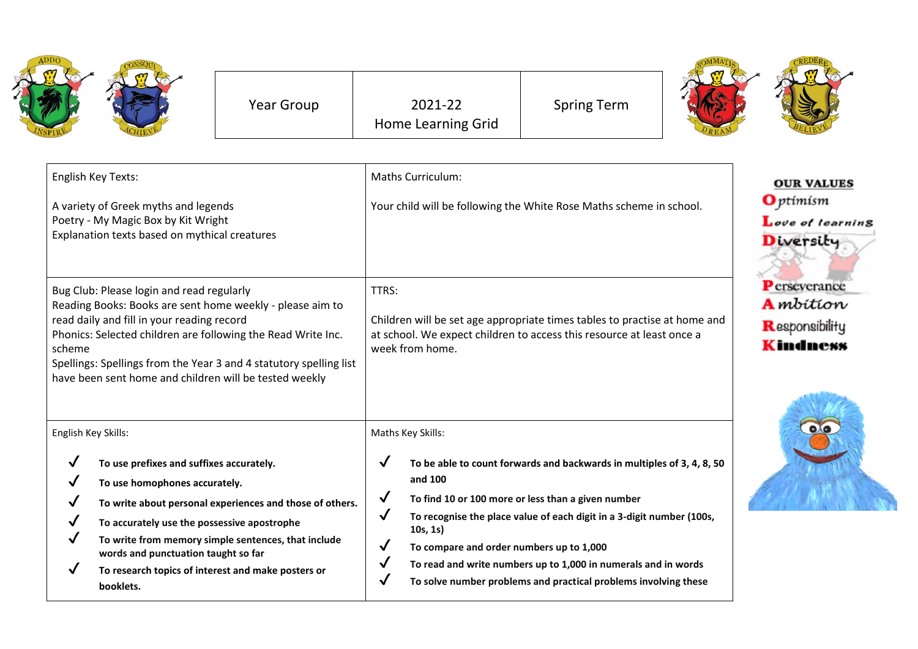|                                                                                                                                                                                                                                                                                                                                                                | <b>Year Group</b>                                        |                                                                                                                                                                                | 2021-22<br><b>Home Learning Grid</b>                                                 | <b>Spring Term</b>                                                                                                                                                                                    |                                                                        |  |
|----------------------------------------------------------------------------------------------------------------------------------------------------------------------------------------------------------------------------------------------------------------------------------------------------------------------------------------------------------------|----------------------------------------------------------|--------------------------------------------------------------------------------------------------------------------------------------------------------------------------------|--------------------------------------------------------------------------------------|-------------------------------------------------------------------------------------------------------------------------------------------------------------------------------------------------------|------------------------------------------------------------------------|--|
| English Key Texts:<br>A variety of Greek myths and legends<br>Poetry - My Magic Box by Kit Wright<br>Explanation texts based on mythical creatures                                                                                                                                                                                                             |                                                          | <b>Maths Curriculum:</b><br>Your child will be following the White Rose Maths scheme in school.                                                                                |                                                                                      |                                                                                                                                                                                                       | <b>OUR VALUES</b><br><b>O</b> ptimism<br>Love of learning<br>Diversity |  |
| Bug Club: Please login and read regularly<br>Reading Books: Books are sent home weekly - please aim to<br>read daily and fill in your reading record<br>Phonics: Selected children are following the Read Write Inc.<br>scheme<br>Spellings: Spellings from the Year 3 and 4 statutory spelling list<br>have been sent home and children will be tested weekly |                                                          | TTRS:<br>Children will be set age appropriate times tables to practise at home and<br>at school. We expect children to access this resource at least once a<br>week from home. |                                                                                      |                                                                                                                                                                                                       | Perseverance<br><b>A</b> mbition<br>Responsibility<br>Kindness         |  |
| English Key Skills:<br>To use prefixes and suffixes accurately.<br>To use homophones accurately.<br>√<br>✓<br>To accurately use the possessive apostrophe<br>✓<br>To write from memory simple sentences, that include                                                                                                                                          | To write about personal experiences and those of others. | $\checkmark$<br>$\checkmark$<br>$\checkmark$<br>$\checkmark$                                                                                                                   | Maths Key Skills:<br>and 100<br>10s, 1s)<br>To compare and order numbers up to 1,000 | To be able to count forwards and backwards in multiples of 3, 4, 8, 50<br>To find 10 or 100 more or less than a given number<br>To recognise the place value of each digit in a 3-digit number (100s, |                                                                        |  |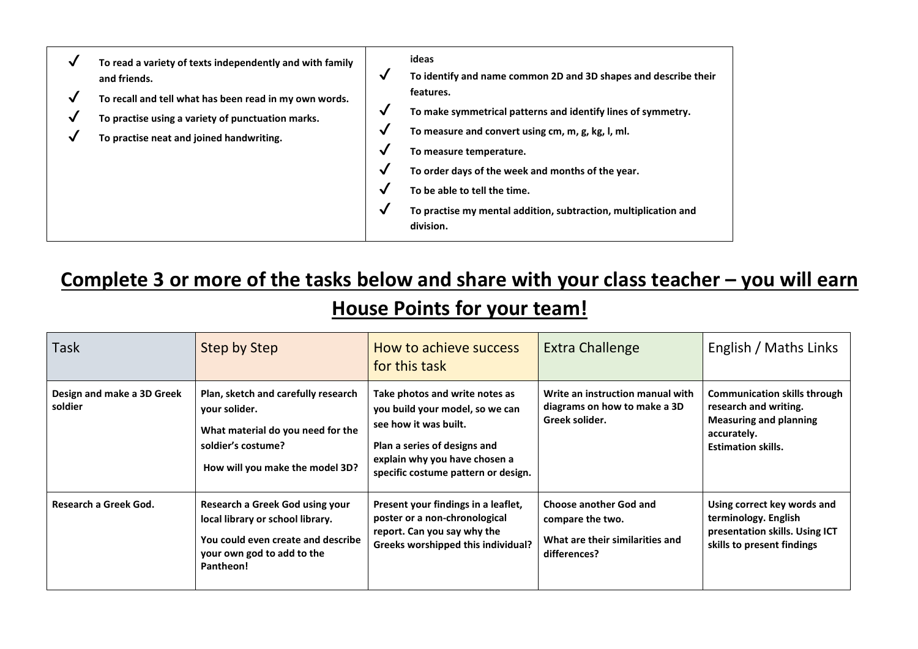| √<br>√<br>√<br>V | To read a variety of texts independently and with family<br>and friends.<br>To recall and tell what has been read in my own words.<br>To practise using a variety of punctuation marks.<br>To practise neat and joined handwriting. | $\checkmark$<br>$\checkmark$<br>$\checkmark$<br>$\checkmark$<br>$\checkmark$<br>$\checkmark$<br>$\checkmark$ | ideas<br>To identify and name common 2D and 3D shapes and describe their<br>features.<br>To make symmetrical patterns and identify lines of symmetry.<br>To measure and convert using cm, m, g, kg, l, ml.<br>To measure temperature.<br>To order days of the week and months of the year.<br>To be able to tell the time.<br>To practise my mental addition, subtraction, multiplication and<br>division. |
|------------------|-------------------------------------------------------------------------------------------------------------------------------------------------------------------------------------------------------------------------------------|--------------------------------------------------------------------------------------------------------------|------------------------------------------------------------------------------------------------------------------------------------------------------------------------------------------------------------------------------------------------------------------------------------------------------------------------------------------------------------------------------------------------------------|
|------------------|-------------------------------------------------------------------------------------------------------------------------------------------------------------------------------------------------------------------------------------|--------------------------------------------------------------------------------------------------------------|------------------------------------------------------------------------------------------------------------------------------------------------------------------------------------------------------------------------------------------------------------------------------------------------------------------------------------------------------------------------------------------------------------|

## **Complete 3 or more of the tasks below and share with your class teacher – you will earn House Points for your team!**

| <b>Task</b>                           | <b>Step by Step</b>                                                                                                                                  | How to achieve success<br>for this task                                                                                                                                                            | <b>Extra Challenge</b>                                                                               | English / Maths Links                                                                                                                     |
|---------------------------------------|------------------------------------------------------------------------------------------------------------------------------------------------------|----------------------------------------------------------------------------------------------------------------------------------------------------------------------------------------------------|------------------------------------------------------------------------------------------------------|-------------------------------------------------------------------------------------------------------------------------------------------|
| Design and make a 3D Greek<br>soldier | Plan, sketch and carefully research<br>your solider.<br>What material do you need for the<br>soldier's costume?<br>How will you make the model 3D?   | Take photos and write notes as<br>you build your model, so we can<br>see how it was built.<br>Plan a series of designs and<br>explain why you have chosen a<br>specific costume pattern or design. | Write an instruction manual with<br>diagrams on how to make a 3D<br>Greek solider.                   | <b>Communication skills through</b><br>research and writing.<br><b>Measuring and planning</b><br>accurately.<br><b>Estimation skills.</b> |
| Research a Greek God.                 | Research a Greek God using your<br>local library or school library.<br>You could even create and describe<br>your own god to add to the<br>Pantheon! | Present your findings in a leaflet,<br>poster or a non-chronological<br>report. Can you say why the<br>Greeks worshipped this individual?                                                          | <b>Choose another God and</b><br>compare the two.<br>What are their similarities and<br>differences? | Using correct key words and<br>terminology. English<br>presentation skills. Using ICT<br>skills to present findings                       |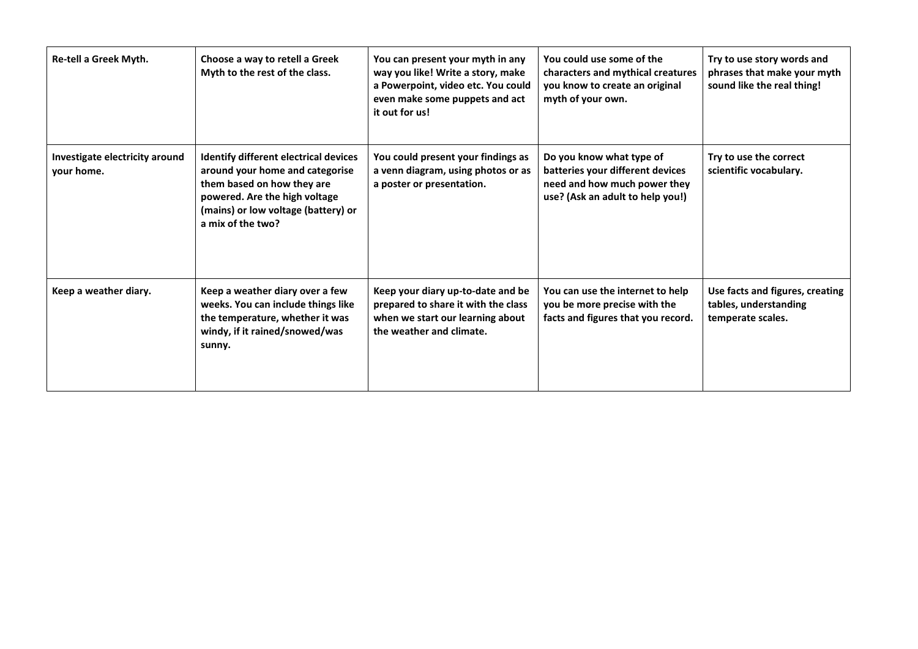| Re-tell a Greek Myth.                        | Choose a way to retell a Greek<br>Myth to the rest of the class.                                                                                                                                           | You can present your myth in any<br>way you like! Write a story, make<br>a Powerpoint, video etc. You could<br>even make some puppets and act<br>it out for us! | You could use some of the<br>characters and mythical creatures<br>you know to create an original<br>myth of your own.            | Try to use story words and<br>phrases that make your myth<br>sound like the real thing! |
|----------------------------------------------|------------------------------------------------------------------------------------------------------------------------------------------------------------------------------------------------------------|-----------------------------------------------------------------------------------------------------------------------------------------------------------------|----------------------------------------------------------------------------------------------------------------------------------|-----------------------------------------------------------------------------------------|
| Investigate electricity around<br>your home. | <b>Identify different electrical devices</b><br>around your home and categorise<br>them based on how they are<br>powered. Are the high voltage<br>(mains) or low voltage (battery) or<br>a mix of the two? | You could present your findings as<br>a venn diagram, using photos or as<br>a poster or presentation.                                                           | Do you know what type of<br>batteries your different devices<br>need and how much power they<br>use? (Ask an adult to help you!) | Try to use the correct<br>scientific vocabulary.                                        |
| Keep a weather diary.                        | Keep a weather diary over a few<br>weeks. You can include things like<br>the temperature, whether it was<br>windy, if it rained/snowed/was<br>sunny.                                                       | Keep your diary up-to-date and be<br>prepared to share it with the class<br>when we start our learning about<br>the weather and climate.                        | You can use the internet to help<br>you be more precise with the<br>facts and figures that you record.                           | Use facts and figures, creating<br>tables, understanding<br>temperate scales.           |